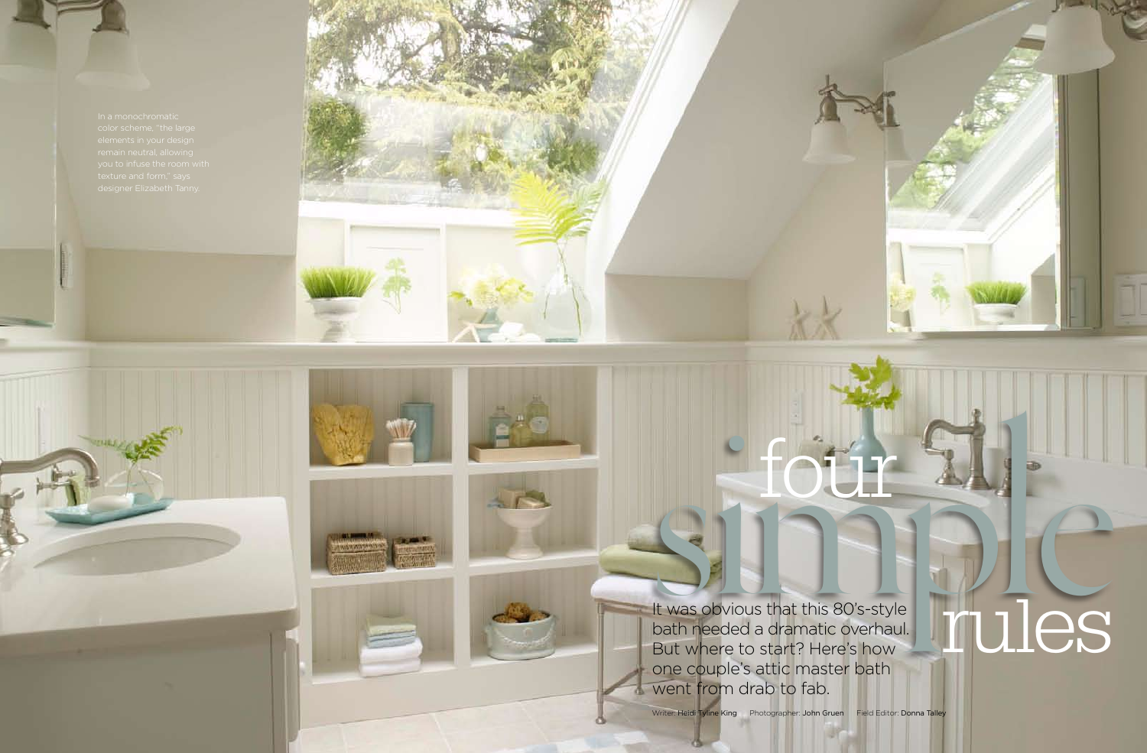

70 Bath Makeovers Spring 2009 Bath Makeovers Spring 2009 71





It was obvious that this 80's-style bath needed a dramatic overhaul. But where to start? Here's how one couple's attic master bath went from drab to fab.

Writer: Heidi Tyline King Photographer: John Gruen Field Editor: Donna Talley

# sure four files rules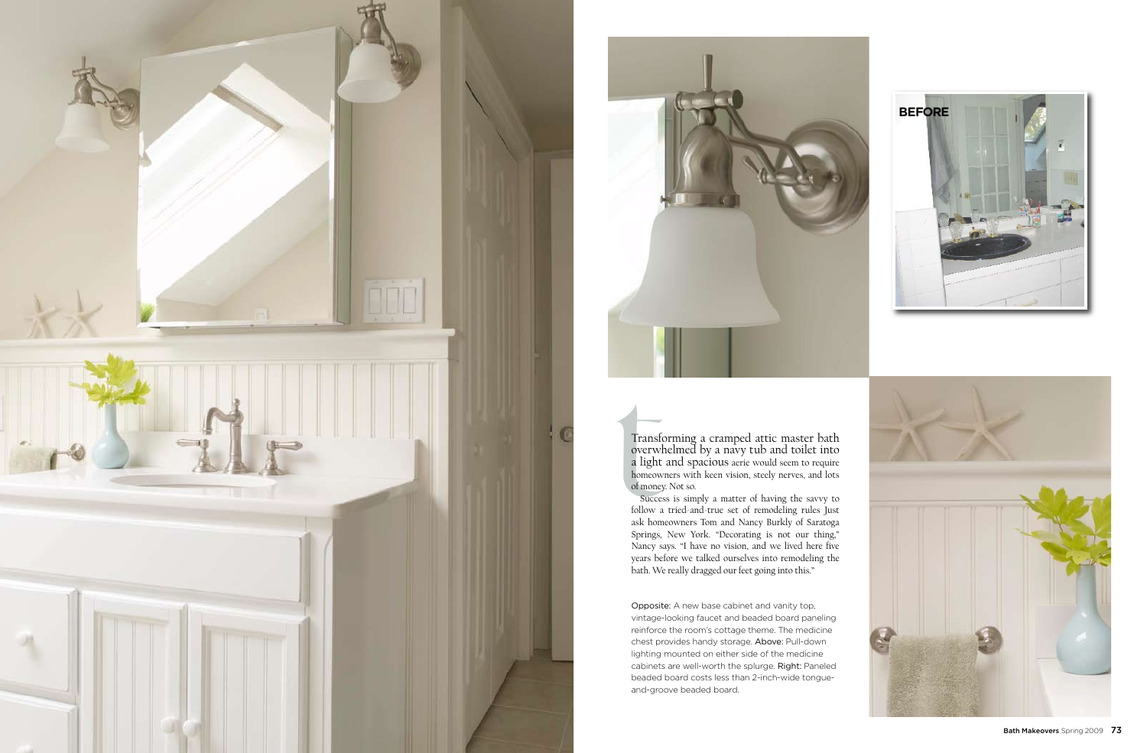Transforming a cramped attic master bath overwhelmed by a navy tub and toilet into a light and spacious aerie would seem to require homeowners with keen vision, steely nerves, and lots of money. Not so.





Success is simply a matter of having the savvy to follow a tried-and-true set of remodeling rules Just ask homeowners Tom and Nancy Burkly of Saratoga Springs, New York. "Decorating is not our thing," Nancy says. "I have no vision, and we lived here five years before we talked ourselves into remodeling the bath. We really dragged our feet going into this."





Opposite: A new base cabinet and vanity top, vintage-looking faucet and beaded board paneling reinforce the room's cottage theme. The medicine chest provides handy storage. Above: Pull-down lighting mounted on either side of the medicine cabinets are well-worth the splurge. Right: Paneled beaded board costs less than 2-inch-wide tongueand-groove beaded board.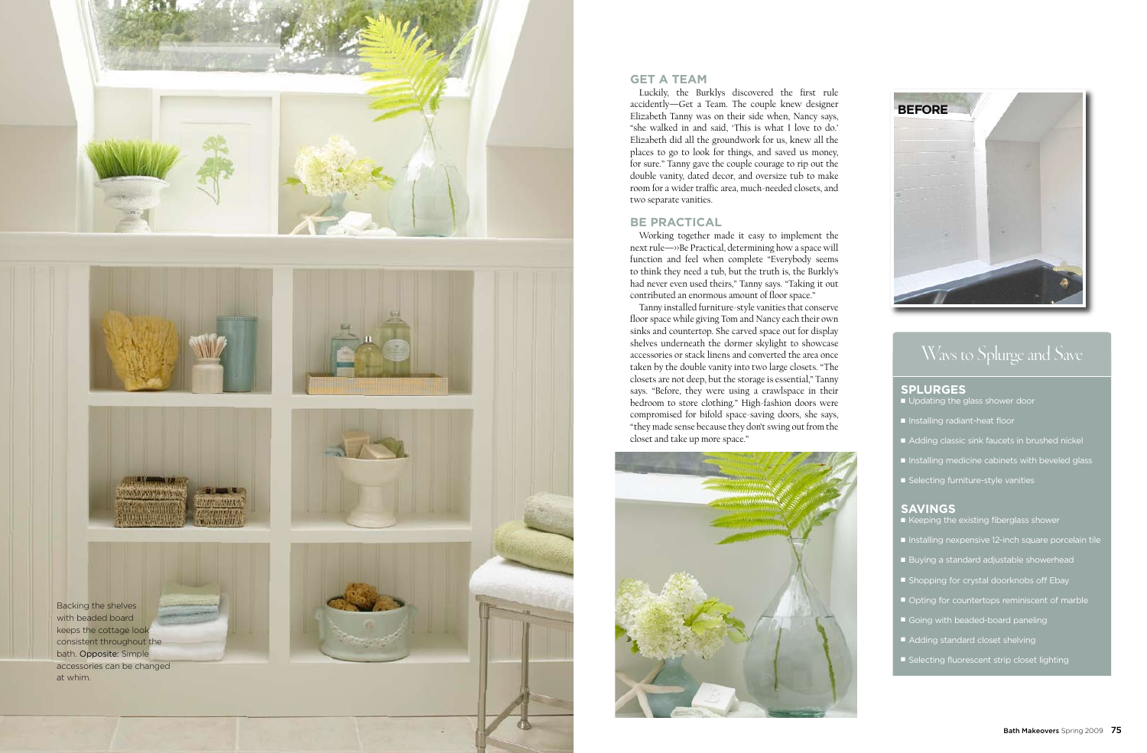# **GET A TEAM**

Luckily, the Burklys discovered the first rule accidently—Get a Team. The couple knew designer Elizabeth Tanny was on their side when, Nancy says, "she walked in and said, 'This is what I love to do.' Elizabeth did all the groundwork for us, knew all the places to go to look for things, and saved us money, for sure." Tanny gave the couple courage to rip out the double vanity, dated decor, and oversize tub to make room for a wider traffic area, much-needed closets, and two separate vanities.

### **BE PRACTICAL**

Working together made it easy to implement the next rule—>>Be Practical, determining how a space will function and feel when complete "Everybody seems to think they need a tub, but the truth is, the Burkly's had never even used theirs," Tanny says. "Taking it out contributed an enormous amount of floor space."

Tanny installed furniture-style vanities that conserve floor space while giving Tom and Nancy each their own sinks and countertop. She carved space out for display shelves underneath the dormer skylight to showcase accessories or stack linens and converted the area once taken by the double vanity into two large closets. "The closets are not deep, but the storage is essential," Tanny says. "Before, they were using a crawlspace in their bedroom to store clothing." High-fashion doors were compromised for bifold space-saving doors, she says, "they made sense because they don't swing out from the closet and take up more space."



# **SPLURGES**

**n** Updating the glass shower door

- Installing radiant-heat floor
- Adding classic sink faucets in brushed nickel
- $\blacksquare$  Installing medicine cabinets with beveled glass
- Selecting furniture-style vanities

# **SAVINGS**

- $\blacksquare$  Keeping the existing fiberglass shower
- Installing nexpensive 12-inch square porcelain tile
- Buying a standard adjustable showerhead
- **n** Shopping for crystal doorknobs off Ebay
- Opting for countertops reminiscent of marble
- Going with beaded-board paneling
- $\blacksquare$  Adding standard closet shelving
- Selecting fluorescent strip closet lighting



# Ways to Splurge and Save